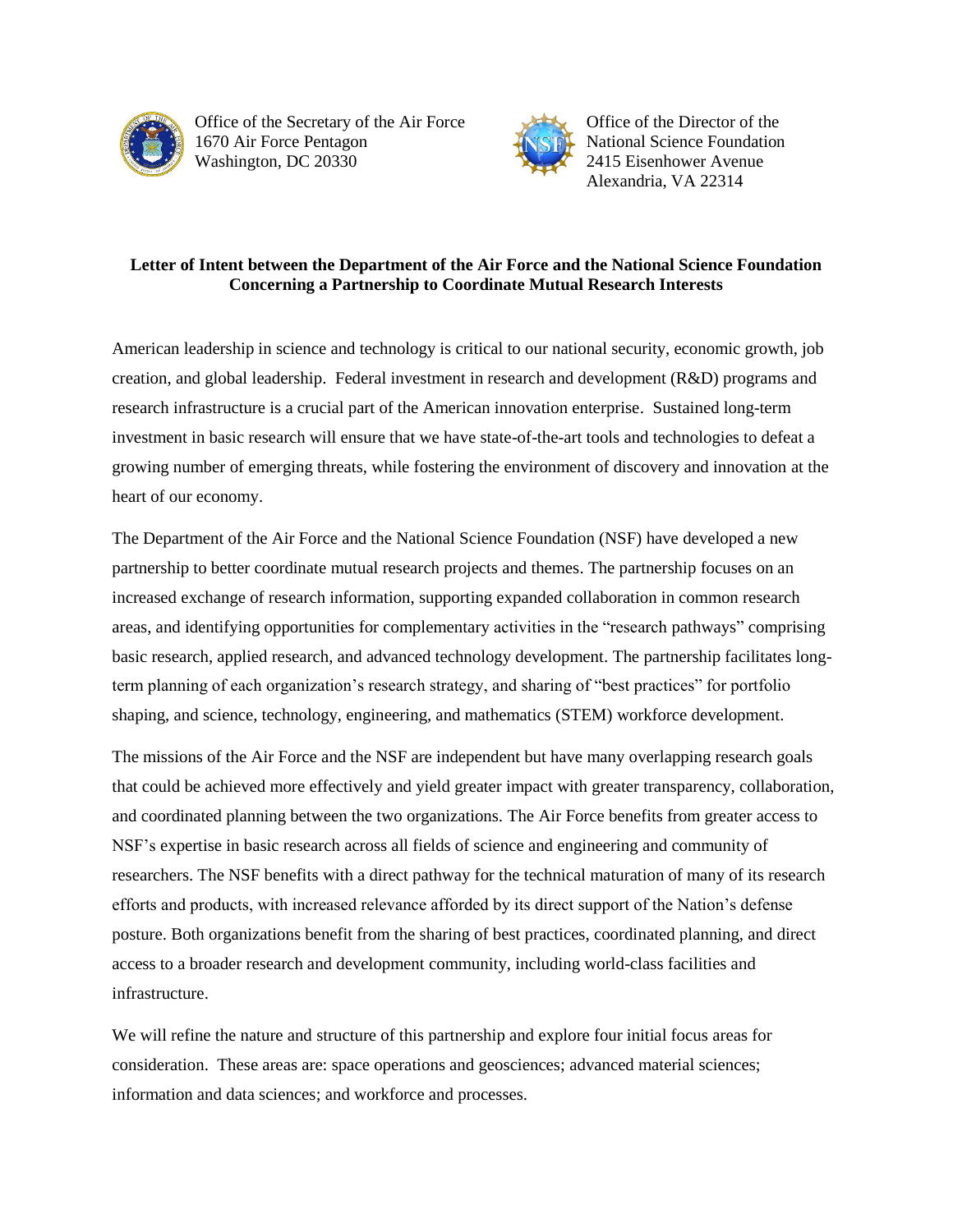

Office of the Secretary of the Air Force 1670 Air Force Pentagon Washington, DC 20330



Office of the Director of the National Science Foundation 2415 Eisenhower Avenue Alexandria, VA 22314

## **Letter of Intent between the Department of the Air Force and the National Science Foundation Concerning a Partnership to Coordinate Mutual Research Interests**

American leadership in science and technology is critical to our national security, economic growth, job creation, and global leadership. Federal investment in research and development (R&D) programs and research infrastructure is a crucial part of the American innovation enterprise. Sustained long-term investment in basic research will ensure that we have state-of-the-art tools and technologies to defeat a growing number of emerging threats, while fostering the environment of discovery and innovation at the heart of our economy.

The Department of the Air Force and the National Science Foundation (NSF) have developed a new partnership to better coordinate mutual research projects and themes. The partnership focuses on an increased exchange of research information, supporting expanded collaboration in common research areas, and identifying opportunities for complementary activities in the "research pathways" comprising basic research, applied research, and advanced technology development. The partnership facilitates longterm planning of each organization's research strategy, and sharing of "best practices" for portfolio shaping, and science, technology, engineering, and mathematics (STEM) workforce development.

The missions of the Air Force and the NSF are independent but have many overlapping research goals that could be achieved more effectively and yield greater impact with greater transparency, collaboration, and coordinated planning between the two organizations. The Air Force benefits from greater access to NSF's expertise in basic research across all fields of science and engineering and community of researchers. The NSF benefits with a direct pathway for the technical maturation of many of its research efforts and products, with increased relevance afforded by its direct support of the Nation's defense posture. Both organizations benefit from the sharing of best practices, coordinated planning, and direct access to a broader research and development community, including world-class facilities and infrastructure.

We will refine the nature and structure of this partnership and explore four initial focus areas for consideration. These areas are: space operations and geosciences; advanced material sciences; information and data sciences; and workforce and processes.